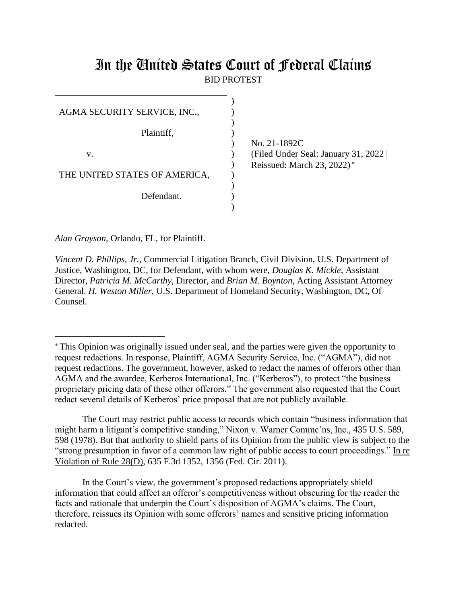# In the United States Court of Federal Claims BID PROTEST

) )

No. 21-1892C (Filed Under Seal: January 31, 2022 | Reissued: March 23, 2022)\*

*Alan Grayson*, Orlando, FL, for Plaintiff.

*Vincent D. Phillips, Jr.*, Commercial Litigation Branch, Civil Division, U.S. Department of Justice, Washington, DC, for Defendant, with whom were, *Douglas K. Mickle*, Assistant Director, *Patricia M. McCarthy*, Director, and *Brian M. Boynton*, Acting Assistant Attorney General. *H. Weston Miller*, U.S. Department of Homeland Security, Washington, DC, Of Counsel.

The Court may restrict public access to records which contain "business information that might harm a litigant's competitive standing," Nixon v. Warner Commc'ns, Inc., 435 U.S. 589, 598 (1978). But that authority to shield parts of its Opinion from the public view is subject to the "strong presumption in favor of a common law right of public access to court proceedings." In re Violation of Rule 28(D), 635 F.3d 1352, 1356 (Fed. Cir. 2011).

In the Court's view, the government's proposed redactions appropriately shield information that could affect an offeror's competitiveness without obscuring for the reader the facts and rationale that underpin the Court's disposition of AGMA's claims. The Court, therefore, reissues its Opinion with some offerors' names and sensitive pricing information redacted.

This Opinion was originally issued under seal, and the parties were given the opportunity to request redactions. In response, Plaintiff, AGMA Security Service, Inc. ("AGMA"), did not request redactions. The government, however, asked to redact the names of offerors other than AGMA and the awardee, Kerberos International, Inc. ("Kerberos"), to protect "the business proprietary pricing data of these other offerors." The government also requested that the Court redact several details of Kerberos' price proposal that are not publicly available.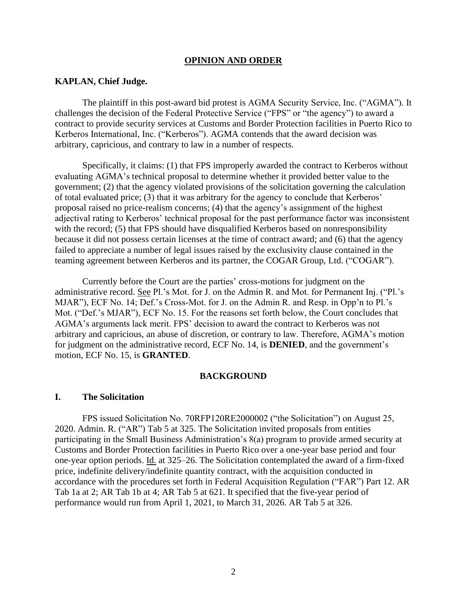#### **OPINION AND ORDER**

#### **KAPLAN, Chief Judge.**

The plaintiff in this post-award bid protest is AGMA Security Service, Inc. ("AGMA"). It challenges the decision of the Federal Protective Service ("FPS" or "the agency") to award a contract to provide security services at Customs and Border Protection facilities in Puerto Rico to Kerberos International, Inc. ("Kerberos"). AGMA contends that the award decision was arbitrary, capricious, and contrary to law in a number of respects.

Specifically, it claims: (1) that FPS improperly awarded the contract to Kerberos without evaluating AGMA's technical proposal to determine whether it provided better value to the government; (2) that the agency violated provisions of the solicitation governing the calculation of total evaluated price; (3) that it was arbitrary for the agency to conclude that Kerberos' proposal raised no price-realism concerns; (4) that the agency's assignment of the highest adjectival rating to Kerberos' technical proposal for the past performance factor was inconsistent with the record; (5) that FPS should have disqualified Kerberos based on nonresponsibility because it did not possess certain licenses at the time of contract award; and (6) that the agency failed to appreciate a number of legal issues raised by the exclusivity clause contained in the teaming agreement between Kerberos and its partner, the COGAR Group, Ltd. ("COGAR").

Currently before the Court are the parties' cross-motions for judgment on the administrative record. See Pl.'s Mot. for J. on the Admin R. and Mot. for Permanent Inj. ("Pl.'s MJAR"), ECF No. 14; Def.'s Cross-Mot. for J. on the Admin R. and Resp. in Opp'n to Pl.'s Mot. ("Def.'s MJAR"), ECF No. 15. For the reasons set forth below, the Court concludes that AGMA's arguments lack merit. FPS' decision to award the contract to Kerberos was not arbitrary and capricious, an abuse of discretion, or contrary to law. Therefore, AGMA's motion for judgment on the administrative record, ECF No. 14, is **DENIED**, and the government's motion, ECF No. 15, is **GRANTED**.

#### **BACKGROUND**

#### **I. The Solicitation**

FPS issued Solicitation No. 70RFP120RE2000002 ("the Solicitation") on August 25, 2020. Admin. R. ("AR") Tab 5 at 325. The Solicitation invited proposals from entities participating in the Small Business Administration's 8(a) program to provide armed security at Customs and Border Protection facilities in Puerto Rico over a one-year base period and four one-year option periods. Id. at 325–26. The Solicitation contemplated the award of a firm-fixed price, indefinite delivery/indefinite quantity contract, with the acquisition conducted in accordance with the procedures set forth in Federal Acquisition Regulation ("FAR") Part 12. AR Tab 1a at 2; AR Tab 1b at 4; AR Tab 5 at 621. It specified that the five-year period of performance would run from April 1, 2021, to March 31, 2026. AR Tab 5 at 326.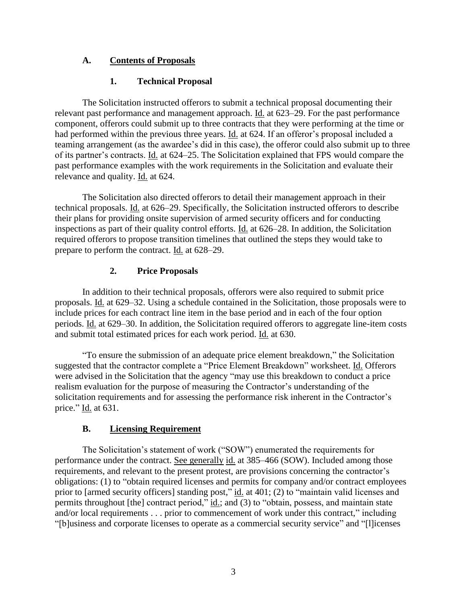# **A. Contents of Proposals**

# **1. Technical Proposal**

The Solicitation instructed offerors to submit a technical proposal documenting their relevant past performance and management approach. Id. at 623–29. For the past performance component, offerors could submit up to three contracts that they were performing at the time or had performed within the previous three years. Id. at 624. If an offeror's proposal included a teaming arrangement (as the awardee's did in this case), the offeror could also submit up to three of its partner's contracts. Id. at 624–25. The Solicitation explained that FPS would compare the past performance examples with the work requirements in the Solicitation and evaluate their relevance and quality. Id. at 624.

The Solicitation also directed offerors to detail their management approach in their technical proposals. Id. at 626–29. Specifically, the Solicitation instructed offerors to describe their plans for providing onsite supervision of armed security officers and for conducting inspections as part of their quality control efforts. Id. at 626–28. In addition, the Solicitation required offerors to propose transition timelines that outlined the steps they would take to prepare to perform the contract. Id. at 628–29.

# **2. Price Proposals**

In addition to their technical proposals, offerors were also required to submit price proposals. Id. at 629–32. Using a schedule contained in the Solicitation, those proposals were to include prices for each contract line item in the base period and in each of the four option periods. Id. at 629–30. In addition, the Solicitation required offerors to aggregate line-item costs and submit total estimated prices for each work period. Id. at 630.

"To ensure the submission of an adequate price element breakdown," the Solicitation suggested that the contractor complete a "Price Element Breakdown" worksheet. Id. Offerors were advised in the Solicitation that the agency "may use this breakdown to conduct a price realism evaluation for the purpose of measuring the Contractor's understanding of the solicitation requirements and for assessing the performance risk inherent in the Contractor's price." Id. at 631.

# **B. Licensing Requirement**

The Solicitation's statement of work ("SOW") enumerated the requirements for performance under the contract. See generally id. at 385–466 (SOW). Included among those requirements, and relevant to the present protest, are provisions concerning the contractor's obligations: (1) to "obtain required licenses and permits for company and/or contract employees prior to [armed security officers] standing post," id. at 401; (2) to "maintain valid licenses and permits throughout [the] contract period,"  $\underline{\text{id}}$ ; and (3) to "obtain, possess, and maintain state and/or local requirements . . . prior to commencement of work under this contract," including "[b]usiness and corporate licenses to operate as a commercial security service" and "[l]icenses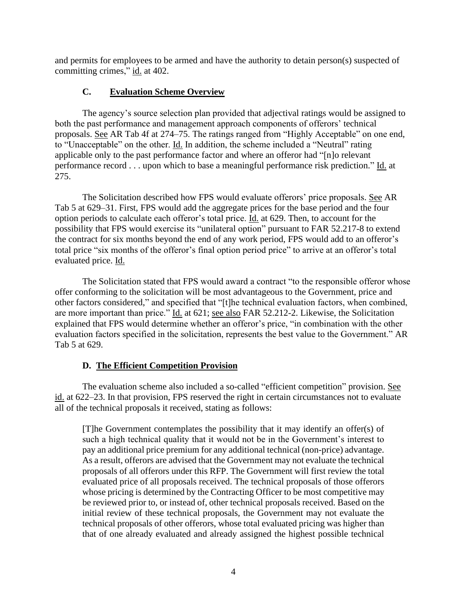and permits for employees to be armed and have the authority to detain person(s) suspected of committing crimes," id. at 402.

# **C. Evaluation Scheme Overview**

The agency's source selection plan provided that adjectival ratings would be assigned to both the past performance and management approach components of offerors' technical proposals. See AR Tab 4f at 274–75. The ratings ranged from "Highly Acceptable" on one end, to "Unacceptable" on the other. Id. In addition, the scheme included a "Neutral" rating applicable only to the past performance factor and where an offeror had "[n]o relevant performance record . . . upon which to base a meaningful performance risk prediction." Id. at 275.

The Solicitation described how FPS would evaluate offerors' price proposals. See AR Tab 5 at 629–31. First, FPS would add the aggregate prices for the base period and the four option periods to calculate each offeror's total price. Id. at 629. Then, to account for the possibility that FPS would exercise its "unilateral option" pursuant to FAR 52.217-8 to extend the contract for six months beyond the end of any work period, FPS would add to an offeror's total price "six months of the offeror's final option period price" to arrive at an offeror's total evaluated price. Id.

The Solicitation stated that FPS would award a contract "to the responsible offeror whose offer conforming to the solicitation will be most advantageous to the Government, price and other factors considered," and specified that "[t]he technical evaluation factors, when combined, are more important than price." Id. at 621; see also FAR 52.212-2. Likewise, the Solicitation explained that FPS would determine whether an offeror's price, "in combination with the other evaluation factors specified in the solicitation, represents the best value to the Government." AR Tab 5 at 629.

# **D. The Efficient Competition Provision**

The evaluation scheme also included a so-called "efficient competition" provision. See id. at 622–23. In that provision, FPS reserved the right in certain circumstances not to evaluate all of the technical proposals it received, stating as follows:

[T]he Government contemplates the possibility that it may identify an offer(s) of such a high technical quality that it would not be in the Government's interest to pay an additional price premium for any additional technical (non-price) advantage. As a result, offerors are advised that the Government may not evaluate the technical proposals of all offerors under this RFP. The Government will first review the total evaluated price of all proposals received. The technical proposals of those offerors whose pricing is determined by the Contracting Officer to be most competitive may be reviewed prior to, or instead of, other technical proposals received. Based on the initial review of these technical proposals, the Government may not evaluate the technical proposals of other offerors, whose total evaluated pricing was higher than that of one already evaluated and already assigned the highest possible technical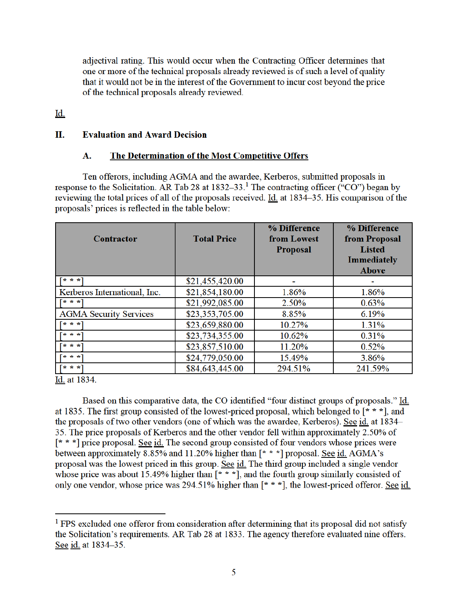adjectival rating. This would occur when the Contracting Officer determines that one or more of the technical proposals already reviewed is of such a level of quality that it would not be in the interest of the Government to incur cost beyond the price of the technical proposals already reviewed.

<u>Id.</u>

#### II. **Evaluation and Award Decision**

#### A. The Determination of the Most Competitive Offers

Ten offerors, including AGMA and the awardee, Kerberos, submitted proposals in response to the Solicitation. AR Tab 28 at  $1832-33$ <sup>1</sup>. The contracting officer ("CO") began by reviewing the total prices of all of the proposals received. Id. at 1834–35. His comparison of the proposals' prices is reflected in the table below:

| Contractor                    | <b>Total Price</b> | % Difference<br>from Lowest<br><b>Proposal</b> | % Difference<br>from Proposal<br><b>Listed</b><br><b>Immediately</b><br><b>Above</b> |
|-------------------------------|--------------------|------------------------------------------------|--------------------------------------------------------------------------------------|
| $* * *1$                      | \$21,455,420.00    |                                                |                                                                                      |
| Kerberos International, Inc.  | \$21,854,180.00    | 1.86%                                          | 1.86%                                                                                |
| $* * *1$                      | \$21,992,085.00    | 2.50%                                          | 0.63%                                                                                |
| <b>AGMA Security Services</b> | \$23,353,705.00    | 8.85%                                          | 6.19%                                                                                |
| $* * *1$                      | \$23,659,880.00    | 10.27%                                         | 1.31%                                                                                |
| $* * * 1$                     | \$23,734,355.00    | 10.62%                                         | 0.31%                                                                                |
| $* * *1$                      | \$23,857,510.00    | 11.20%                                         | 0.52%                                                                                |
| $* * *1$                      | \$24,779,050.00    | 15.49%                                         | 3.86%                                                                                |
| $* * *1$                      | \$84,643,445.00    | 294.51%                                        | 241.59%                                                                              |

Id. at 1834.

Based on this comparative data, the CO identified "four distinct groups of proposals." Id. at 1835. The first group consisted of the lowest-priced proposal, which belonged to  $[* **]$ , and the proposals of two other vendors (one of which was the awardee, Kerberos). See id. at 1834– 35. The price proposals of Kerberos and the other vendor fell within approximately 2.50% of  $[* * *]$  price proposal. See id. The second group consisted of four vendors whose prices were between approximately 8.85% and 11.20% higher than  $[* * *]$  proposal. See id. AGMA's proposal was the lowest priced in this group. See id. The third group included a single vendor whose price was about 15.49% higher than  $[* **]$ , and the fourth group similarly consisted of only one vendor, whose price was 294.51% higher than  $[* **]$ , the lowest-priced offeror. See id.

<sup>&</sup>lt;sup>1</sup> FPS excluded one offeror from consideration after determining that its proposal did not satisfy the Solicitation's requirements. AR Tab 28 at 1833. The agency therefore evaluated nine offers. See id. at 1834-35.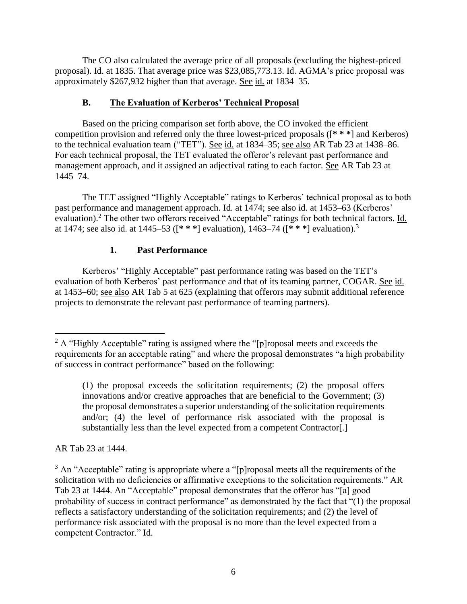The CO also calculated the average price of all proposals (excluding the highest-priced proposal). Id. at 1835. That average price was \$23,085,773.13. Id. AGMA's price proposal was approximately \$267,932 higher than that average. See id. at 1834–35.

# **B. The Evaluation of Kerberos' Technical Proposal**

Based on the pricing comparison set forth above, the CO invoked the efficient competition provision and referred only the three lowest-priced proposals ([**\* \* \***] and Kerberos) to the technical evaluation team ("TET"). See id. at 1834–35; see also AR Tab 23 at 1438–86. For each technical proposal, the TET evaluated the offeror's relevant past performance and management approach, and it assigned an adjectival rating to each factor. See AR Tab 23 at 1445–74.

The TET assigned "Highly Acceptable" ratings to Kerberos' technical proposal as to both past performance and management approach. Id. at 1474; see also id. at 1453–63 (Kerberos' evaluation).<sup>2</sup> The other two offerors received "Acceptable" ratings for both technical factors. Id. at 1474; see also id. at 1445–53 ([**\* \* \***] evaluation), 1463–74 ([**\* \* \***] evaluation). 3

# **1. Past Performance**

Kerberos' "Highly Acceptable" past performance rating was based on the TET's evaluation of both Kerberos' past performance and that of its teaming partner, COGAR. See id. at 1453–60; see also AR Tab 5 at 625 (explaining that offerors may submit additional reference projects to demonstrate the relevant past performance of teaming partners).

AR Tab 23 at 1444.

<sup>&</sup>lt;sup>2</sup> A "Highly Acceptable" rating is assigned where the "[p]roposal meets and exceeds the requirements for an acceptable rating" and where the proposal demonstrates "a high probability of success in contract performance" based on the following:

<sup>(1)</sup> the proposal exceeds the solicitation requirements; (2) the proposal offers innovations and/or creative approaches that are beneficial to the Government; (3) the proposal demonstrates a superior understanding of the solicitation requirements and/or; (4) the level of performance risk associated with the proposal is substantially less than the level expected from a competent Contractor[.]

 $3$  An "Acceptable" rating is appropriate where a "[p]roposal meets all the requirements of the solicitation with no deficiencies or affirmative exceptions to the solicitation requirements." AR Tab 23 at 1444. An "Acceptable" proposal demonstrates that the offeror has "[a] good probability of success in contract performance" as demonstrated by the fact that "(1) the proposal reflects a satisfactory understanding of the solicitation requirements; and (2) the level of performance risk associated with the proposal is no more than the level expected from a competent Contractor." Id.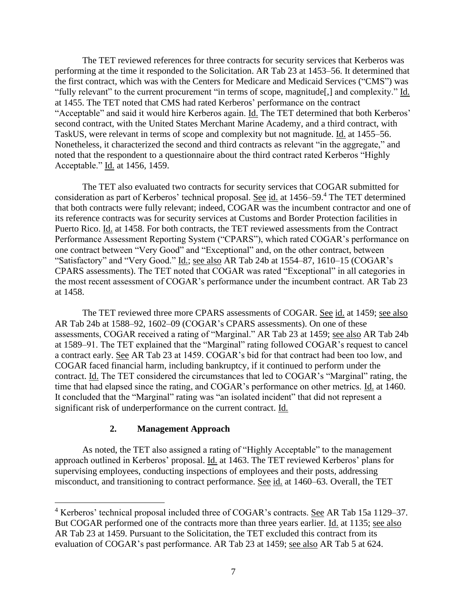The TET reviewed references for three contracts for security services that Kerberos was performing at the time it responded to the Solicitation. AR Tab 23 at 1453–56. It determined that the first contract, which was with the Centers for Medicare and Medicaid Services ("CMS") was "fully relevant" to the current procurement "in terms of scope, magnitude[,] and complexity." Id. at 1455. The TET noted that CMS had rated Kerberos' performance on the contract "Acceptable" and said it would hire Kerberos again. *Id.* The TET determined that both Kerberos' second contract, with the United States Merchant Marine Academy, and a third contract, with TaskUS, were relevant in terms of scope and complexity but not magnitude. Id. at 1455–56. Nonetheless, it characterized the second and third contracts as relevant "in the aggregate," and noted that the respondent to a questionnaire about the third contract rated Kerberos "Highly Acceptable." Id. at 1456, 1459.

The TET also evaluated two contracts for security services that COGAR submitted for consideration as part of Kerberos' technical proposal. See id. at 1456–59.<sup>4</sup> The TET determined that both contracts were fully relevant; indeed, COGAR was the incumbent contractor and one of its reference contracts was for security services at Customs and Border Protection facilities in Puerto Rico. Id. at 1458. For both contracts, the TET reviewed assessments from the Contract Performance Assessment Reporting System ("CPARS"), which rated COGAR's performance on one contract between "Very Good" and "Exceptional" and, on the other contract, between "Satisfactory" and "Very Good." *Id.*; see also AR Tab 24b at 1554–87, 1610–15 (COGAR's CPARS assessments). The TET noted that COGAR was rated "Exceptional" in all categories in the most recent assessment of COGAR's performance under the incumbent contract. AR Tab 23 at 1458.

The TET reviewed three more CPARS assessments of COGAR. See id. at 1459; see also AR Tab 24b at 1588–92, 1602–09 (COGAR's CPARS assessments). On one of these assessments, COGAR received a rating of "Marginal." AR Tab 23 at 1459; see also AR Tab 24b at 1589–91. The TET explained that the "Marginal" rating followed COGAR's request to cancel a contract early. See AR Tab 23 at 1459. COGAR's bid for that contract had been too low, and COGAR faced financial harm, including bankruptcy, if it continued to perform under the contract. Id. The TET considered the circumstances that led to COGAR's "Marginal" rating, the time that had elapsed since the rating, and COGAR's performance on other metrics. Id. at 1460. It concluded that the "Marginal" rating was "an isolated incident" that did not represent a significant risk of underperformance on the current contract. Id.

#### **2. Management Approach**

As noted, the TET also assigned a rating of "Highly Acceptable" to the management approach outlined in Kerberos' proposal. Id. at 1463. The TET reviewed Kerberos' plans for supervising employees, conducting inspections of employees and their posts, addressing misconduct, and transitioning to contract performance. See id. at 1460–63. Overall, the TET

<sup>4</sup> Kerberos' technical proposal included three of COGAR's contracts. See AR Tab 15a 1129–37. But COGAR performed one of the contracts more than three years earlier. Id. at 1135; see also AR Tab 23 at 1459. Pursuant to the Solicitation, the TET excluded this contract from its evaluation of COGAR's past performance. AR Tab 23 at 1459; see also AR Tab 5 at 624.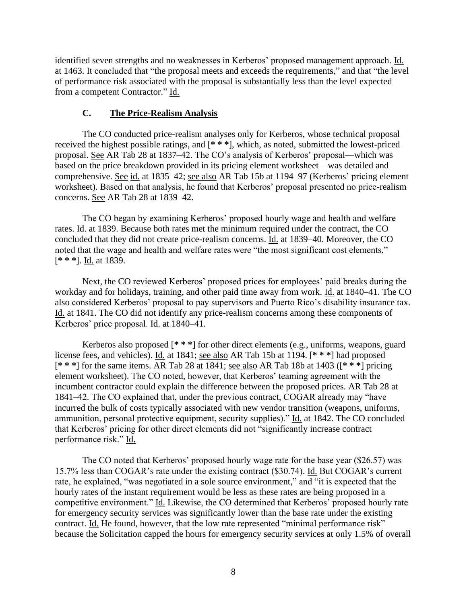identified seven strengths and no weaknesses in Kerberos' proposed management approach. Id. at 1463. It concluded that "the proposal meets and exceeds the requirements," and that "the level of performance risk associated with the proposal is substantially less than the level expected from a competent Contractor." Id.

### **C. The Price-Realism Analysis**

The CO conducted price-realism analyses only for Kerberos, whose technical proposal received the highest possible ratings, and [**\* \* \***], which, as noted, submitted the lowest-priced proposal. See AR Tab 28 at 1837–42. The CO's analysis of Kerberos' proposal—which was based on the price breakdown provided in its pricing element worksheet—was detailed and comprehensive. See id. at 1835–42; see also AR Tab 15b at 1194–97 (Kerberos' pricing element worksheet). Based on that analysis, he found that Kerberos' proposal presented no price-realism concerns. See AR Tab 28 at 1839–42.

The CO began by examining Kerberos' proposed hourly wage and health and welfare rates. Id. at 1839. Because both rates met the minimum required under the contract, the CO concluded that they did not create price-realism concerns. Id. at 1839–40. Moreover, the CO noted that the wage and health and welfare rates were "the most significant cost elements," [**\* \* \***]. Id. at 1839.

Next, the CO reviewed Kerberos' proposed prices for employees' paid breaks during the workday and for holidays, training, and other paid time away from work. Id. at 1840–41. The CO also considered Kerberos' proposal to pay supervisors and Puerto Rico's disability insurance tax. Id. at 1841. The CO did not identify any price-realism concerns among these components of Kerberos' price proposal. Id. at 1840–41.

Kerberos also proposed [**\* \* \***] for other direct elements (e.g., uniforms, weapons, guard license fees, and vehicles). Id. at 1841; see also AR Tab 15b at 1194. [**\* \* \***] had proposed [**\* \* \***] for the same items. AR Tab 28 at 1841; see also AR Tab 18b at 1403 ([**\* \* \***] pricing element worksheet). The CO noted, however, that Kerberos' teaming agreement with the incumbent contractor could explain the difference between the proposed prices. AR Tab 28 at 1841–42. The CO explained that, under the previous contract, COGAR already may "have incurred the bulk of costs typically associated with new vendor transition (weapons, uniforms, ammunition, personal protective equipment, security supplies)." Id. at 1842. The CO concluded that Kerberos' pricing for other direct elements did not "significantly increase contract performance risk." Id.

The CO noted that Kerberos' proposed hourly wage rate for the base year (\$26.57) was 15.7% less than COGAR's rate under the existing contract (\$30.74). Id. But COGAR's current rate, he explained, "was negotiated in a sole source environment," and "it is expected that the hourly rates of the instant requirement would be less as these rates are being proposed in a competitive environment." Id. Likewise, the CO determined that Kerberos' proposed hourly rate for emergency security services was significantly lower than the base rate under the existing contract. Id. He found, however, that the low rate represented "minimal performance risk" because the Solicitation capped the hours for emergency security services at only 1.5% of overall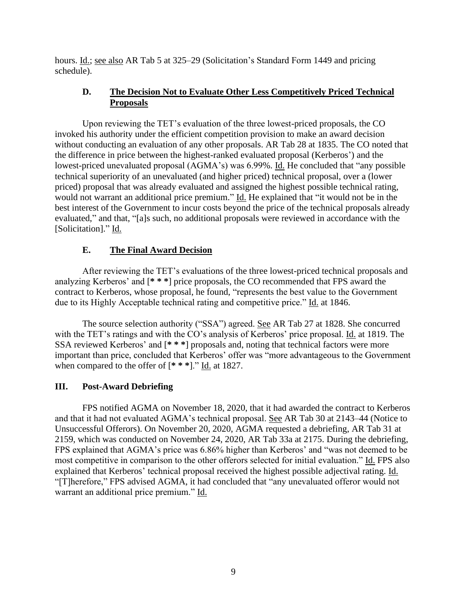hours. Id.; see also AR Tab 5 at 325–29 (Solicitation's Standard Form 1449 and pricing schedule).

# **D. The Decision Not to Evaluate Other Less Competitively Priced Technical Proposals**

Upon reviewing the TET's evaluation of the three lowest-priced proposals, the CO invoked his authority under the efficient competition provision to make an award decision without conducting an evaluation of any other proposals. AR Tab 28 at 1835. The CO noted that the difference in price between the highest-ranked evaluated proposal (Kerberos') and the lowest-priced unevaluated proposal (AGMA's) was 6.99%. Id. He concluded that "any possible technical superiority of an unevaluated (and higher priced) technical proposal, over a (lower priced) proposal that was already evaluated and assigned the highest possible technical rating, would not warrant an additional price premium." Id. He explained that "it would not be in the best interest of the Government to incur costs beyond the price of the technical proposals already evaluated," and that, "[a]s such, no additional proposals were reviewed in accordance with the [Solicitation]." Id.

# **E. The Final Award Decision**

After reviewing the TET's evaluations of the three lowest-priced technical proposals and analyzing Kerberos' and [**\* \* \***] price proposals, the CO recommended that FPS award the contract to Kerberos, whose proposal, he found, "represents the best value to the Government due to its Highly Acceptable technical rating and competitive price." Id. at 1846.

The source selection authority ("SSA") agreed. See AR Tab 27 at 1828. She concurred with the TET's ratings and with the CO's analysis of Kerberos' price proposal. Id. at 1819. The SSA reviewed Kerberos' and [**\* \* \***] proposals and, noting that technical factors were more important than price, concluded that Kerberos' offer was "more advantageous to the Government when compared to the offer of [**\* \* \***]." Id. at 1827.

### **III. Post-Award Debriefing**

FPS notified AGMA on November 18, 2020, that it had awarded the contract to Kerberos and that it had not evaluated AGMA's technical proposal. See AR Tab 30 at 2143–44 (Notice to Unsuccessful Offerors). On November 20, 2020, AGMA requested a debriefing, AR Tab 31 at 2159, which was conducted on November 24, 2020, AR Tab 33a at 2175. During the debriefing, FPS explained that AGMA's price was 6.86% higher than Kerberos' and "was not deemed to be most competitive in comparison to the other offerors selected for initial evaluation." Id. FPS also explained that Kerberos' technical proposal received the highest possible adjectival rating. Id. "[T]herefore," FPS advised AGMA, it had concluded that "any unevaluated offeror would not warrant an additional price premium." Id.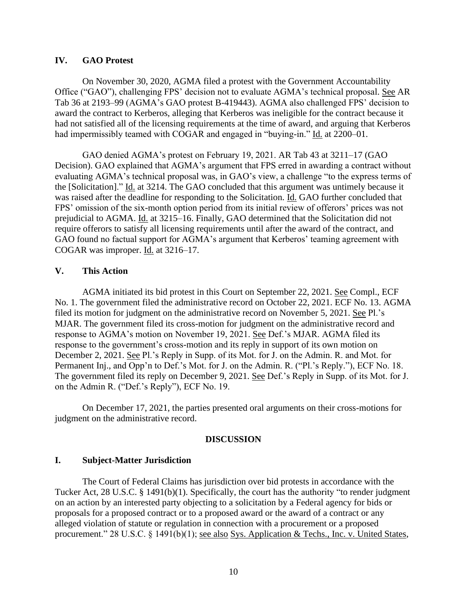### **IV. GAO Protest**

On November 30, 2020, AGMA filed a protest with the Government Accountability Office ("GAO"), challenging FPS' decision not to evaluate AGMA's technical proposal. See AR Tab 36 at 2193–99 (AGMA's GAO protest B-419443). AGMA also challenged FPS' decision to award the contract to Kerberos, alleging that Kerberos was ineligible for the contract because it had not satisfied all of the licensing requirements at the time of award, and arguing that Kerberos had impermissibly teamed with COGAR and engaged in "buying-in." Id. at 2200–01.

GAO denied AGMA's protest on February 19, 2021. AR Tab 43 at 3211–17 (GAO Decision). GAO explained that AGMA's argument that FPS erred in awarding a contract without evaluating AGMA's technical proposal was, in GAO's view, a challenge "to the express terms of the [Solicitation]." Id. at 3214. The GAO concluded that this argument was untimely because it was raised after the deadline for responding to the Solicitation. Id. GAO further concluded that FPS' omission of the six-month option period from its initial review of offerors' prices was not prejudicial to AGMA. Id. at 3215–16. Finally, GAO determined that the Solicitation did not require offerors to satisfy all licensing requirements until after the award of the contract, and GAO found no factual support for AGMA's argument that Kerberos' teaming agreement with COGAR was improper. Id. at 3216–17.

#### **V. This Action**

AGMA initiated its bid protest in this Court on September 22, 2021. See Compl., ECF No. 1. The government filed the administrative record on October 22, 2021. ECF No. 13. AGMA filed its motion for judgment on the administrative record on November 5, 2021. See Pl.'s MJAR. The government filed its cross-motion for judgment on the administrative record and response to AGMA's motion on November 19, 2021. See Def.'s MJAR. AGMA filed its response to the government's cross-motion and its reply in support of its own motion on December 2, 2021. See Pl.'s Reply in Supp. of its Mot. for J. on the Admin. R. and Mot. for Permanent Inj., and Opp'n to Def.'s Mot. for J. on the Admin. R. ("Pl.'s Reply."), ECF No. 18. The government filed its reply on December 9, 2021. See Def.'s Reply in Supp. of its Mot. for J. on the Admin R. ("Def.'s Reply"), ECF No. 19.

On December 17, 2021, the parties presented oral arguments on their cross-motions for judgment on the administrative record.

#### **DISCUSSION**

#### **I. Subject-Matter Jurisdiction**

The Court of Federal Claims has jurisdiction over bid protests in accordance with the Tucker Act, 28 U.S.C. § 1491(b)(1). Specifically, the court has the authority "to render judgment on an action by an interested party objecting to a solicitation by a Federal agency for bids or proposals for a proposed contract or to a proposed award or the award of a contract or any alleged violation of statute or regulation in connection with a procurement or a proposed procurement." 28 U.S.C. § 1491(b)(1); <u>see also Sys. Application & Techs.</u>, Inc. v. United States,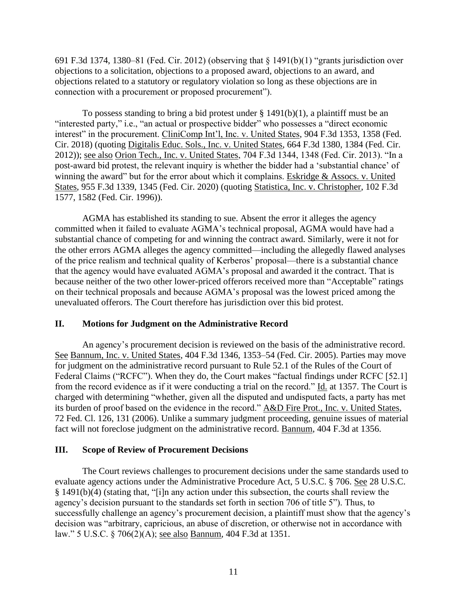691 F.3d 1374, 1380–81 (Fed. Cir. 2012) (observing that § 1491(b)(1) "grants jurisdiction over objections to a solicitation, objections to a proposed award, objections to an award, and objections related to a statutory or regulatory violation so long as these objections are in connection with a procurement or proposed procurement").

To possess standing to bring a bid protest under  $\S$  1491(b)(1), a plaintiff must be an "interested party," i.e., "an actual or prospective bidder" who possesses a "direct economic interest" in the procurement. CliniComp Int'l, Inc. v. United States, 904 F.3d 1353, 1358 (Fed. Cir. 2018) (quoting Digitalis Educ. Sols., Inc. v. United States, 664 F.3d 1380, 1384 (Fed. Cir. 2012)); see also Orion Tech., Inc. v. United States, 704 F.3d 1344, 1348 (Fed. Cir. 2013). "In a post-award bid protest, the relevant inquiry is whether the bidder had a 'substantial chance' of winning the award" but for the error about which it complains. Eskridge & Assocs. v. United States, 955 F.3d 1339, 1345 (Fed. Cir. 2020) (quoting Statistica, Inc. v. Christopher, 102 F.3d 1577, 1582 (Fed. Cir. 1996)).

AGMA has established its standing to sue. Absent the error it alleges the agency committed when it failed to evaluate AGMA's technical proposal, AGMA would have had a substantial chance of competing for and winning the contract award. Similarly, were it not for the other errors AGMA alleges the agency committed—including the allegedly flawed analyses of the price realism and technical quality of Kerberos' proposal—there is a substantial chance that the agency would have evaluated AGMA's proposal and awarded it the contract. That is because neither of the two other lower-priced offerors received more than "Acceptable" ratings on their technical proposals and because AGMA's proposal was the lowest priced among the unevaluated offerors. The Court therefore has jurisdiction over this bid protest.

#### **II. Motions for Judgment on the Administrative Record**

An agency's procurement decision is reviewed on the basis of the administrative record. See Bannum, Inc. v. United States, 404 F.3d 1346, 1353–54 (Fed. Cir. 2005). Parties may move for judgment on the administrative record pursuant to Rule 52.1 of the Rules of the Court of Federal Claims ("RCFC"). When they do, the Court makes "factual findings under RCFC [52.1] from the record evidence as if it were conducting a trial on the record." Id. at 1357. The Court is charged with determining "whether, given all the disputed and undisputed facts, a party has met its burden of proof based on the evidence in the record." A&D Fire Prot., Inc. v. United States, 72 Fed. Cl. 126, 131 (2006). Unlike a summary judgment proceeding, genuine issues of material fact will not foreclose judgment on the administrative record. Bannum, 404 F.3d at 1356.

### **III. Scope of Review of Procurement Decisions**

The Court reviews challenges to procurement decisions under the same standards used to evaluate agency actions under the Administrative Procedure Act, 5 U.S.C. § 706. See 28 U.S.C. § 1491(b)(4) (stating that, "[i]n any action under this subsection, the courts shall review the agency's decision pursuant to the standards set forth in section 706 of title 5"). Thus, to successfully challenge an agency's procurement decision, a plaintiff must show that the agency's decision was "arbitrary, capricious, an abuse of discretion, or otherwise not in accordance with law." 5 U.S.C. § 706(2)(A); see also Bannum, 404 F.3d at 1351.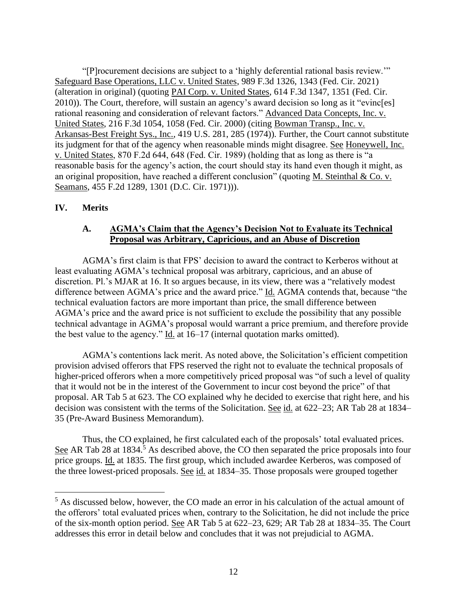"[P]rocurement decisions are subject to a 'highly deferential rational basis review.'" Safeguard Base Operations, LLC v. United States, 989 F.3d 1326, 1343 (Fed. Cir. 2021) (alteration in original) (quoting PAI Corp. v. United States, 614 F.3d 1347, 1351 (Fed. Cir. 2010)). The Court, therefore, will sustain an agency's award decision so long as it "evinc[es] rational reasoning and consideration of relevant factors." Advanced Data Concepts, Inc. v. United States, 216 F.3d 1054, 1058 (Fed. Cir. 2000) (citing Bowman Transp., Inc. v. Arkansas-Best Freight Sys., Inc., 419 U.S. 281, 285 (1974)). Further, the Court cannot substitute its judgment for that of the agency when reasonable minds might disagree. See Honeywell, Inc. v. United States, 870 F.2d 644, 648 (Fed. Cir. 1989) (holding that as long as there is "a reasonable basis for the agency's action, the court should stay its hand even though it might, as an original proposition, have reached a different conclusion" (quoting M. Steinthal & Co. v. Seamans, 455 F.2d 1289, 1301 (D.C. Cir. 1971))).

#### **IV. Merits**

### **A. AGMA's Claim that the Agency's Decision Not to Evaluate its Technical Proposal was Arbitrary, Capricious, and an Abuse of Discretion**

AGMA's first claim is that FPS' decision to award the contract to Kerberos without at least evaluating AGMA's technical proposal was arbitrary, capricious, and an abuse of discretion. Pl.'s MJAR at 16. It so argues because, in its view, there was a "relatively modest difference between AGMA's price and the award price." Id. AGMA contends that, because "the technical evaluation factors are more important than price, the small difference between AGMA's price and the award price is not sufficient to exclude the possibility that any possible technical advantage in AGMA's proposal would warrant a price premium, and therefore provide the best value to the agency." Id. at 16–17 (internal quotation marks omitted).

AGMA's contentions lack merit. As noted above, the Solicitation's efficient competition provision advised offerors that FPS reserved the right not to evaluate the technical proposals of higher-priced offerors when a more competitively priced proposal was "of such a level of quality that it would not be in the interest of the Government to incur cost beyond the price" of that proposal. AR Tab 5 at 623. The CO explained why he decided to exercise that right here, and his decision was consistent with the terms of the Solicitation. See id. at 622–23; AR Tab 28 at 1834– 35 (Pre-Award Business Memorandum).

Thus, the CO explained, he first calculated each of the proposals' total evaluated prices. See AR Tab 28 at 1834.<sup>5</sup> As described above, the CO then separated the price proposals into four price groups. Id. at 1835. The first group, which included awardee Kerberos, was composed of the three lowest-priced proposals. See id. at 1834–35. Those proposals were grouped together

<sup>&</sup>lt;sup>5</sup> As discussed below, however, the CO made an error in his calculation of the actual amount of the offerors' total evaluated prices when, contrary to the Solicitation, he did not include the price of the six-month option period. See AR Tab 5 at 622–23, 629; AR Tab 28 at 1834–35. The Court addresses this error in detail below and concludes that it was not prejudicial to AGMA.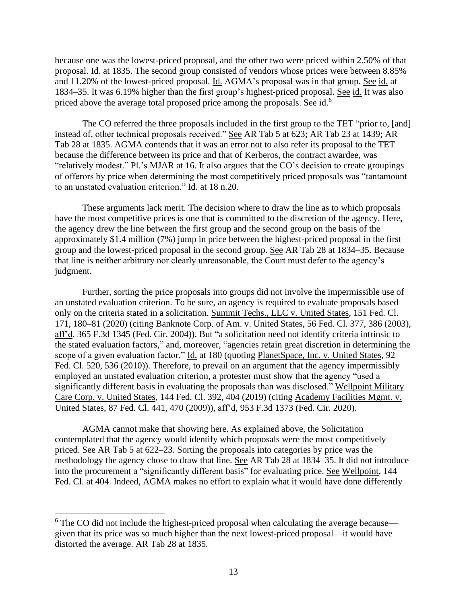because one was the lowest-priced proposal, and the other two were priced within 2.50% of that proposal. Id. at 1835. The second group consisted of vendors whose prices were between 8.85% and 11.20% of the lowest-priced proposal. Id. AGMA's proposal was in that group. See id. at 1834–35. It was 6.19% higher than the first group's highest-priced proposal. See id. It was also priced above the average total proposed price among the proposals. See id.<sup>6</sup>

The CO referred the three proposals included in the first group to the TET "prior to, [and] instead of, other technical proposals received." See AR Tab 5 at 623; AR Tab 23 at 1439; AR Tab 28 at 1835. AGMA contends that it was an error not to also refer its proposal to the TET because the difference between its price and that of Kerberos, the contract awardee, was "relatively modest." Pl.'s MJAR at 16. It also argues that the CO's decision to create groupings of offerors by price when determining the most competitively priced proposals was "tantamount to an unstated evaluation criterion." Id. at 18 n.20.

These arguments lack merit. The decision where to draw the line as to which proposals have the most competitive prices is one that is committed to the discretion of the agency. Here, the agency drew the line between the first group and the second group on the basis of the approximately \$1.4 million (7%) jump in price between the highest-priced proposal in the first group and the lowest-priced proposal in the second group. See AR Tab 28 at 1834–35. Because that line is neither arbitrary nor clearly unreasonable, the Court must defer to the agency's judgment.

Further, sorting the price proposals into groups did not involve the impermissible use of an unstated evaluation criterion. To be sure, an agency is required to evaluate proposals based only on the criteria stated in a solicitation. Summit Techs., LLC v. United States, 151 Fed. Cl. 171, 180–81 (2020) (citing Banknote Corp. of Am. v. United States, 56 Fed. Cl. 377, 386 (2003), aff'd, 365 F.3d 1345 (Fed. Cir. 2004)). But "a solicitation need not identify criteria intrinsic to the stated evaluation factors," and, moreover, "agencies retain great discretion in determining the scope of a given evaluation factor." Id. at 180 (quoting PlanetSpace, Inc. v. United States, 92 Fed. Cl. 520, 536 (2010)). Therefore, to prevail on an argument that the agency impermissibly employed an unstated evaluation criterion, a protester must show that the agency "used a significantly different basis in evaluating the proposals than was disclosed." Wellpoint Military Care Corp. v. United States, 144 Fed. Cl. 392, 404 (2019) (citing Academy Facilities Mgmt. v. United States, 87 Fed. Cl. 441, 470 (2009)), aff'd, 953 F.3d 1373 (Fed. Cir. 2020).

AGMA cannot make that showing here. As explained above, the Solicitation contemplated that the agency would identify which proposals were the most competitively priced. See AR Tab 5 at 622–23. Sorting the proposals into categories by price was the methodology the agency chose to draw that line. See AR Tab 28 at 1834–35. It did not introduce into the procurement a "significantly different basis" for evaluating price. See Wellpoint, 144 Fed. Cl. at 404. Indeed, AGMA makes no effort to explain what it would have done differently

 $6$  The CO did not include the highest-priced proposal when calculating the average because given that its price was so much higher than the next lowest-priced proposal—it would have distorted the average. AR Tab 28 at 1835.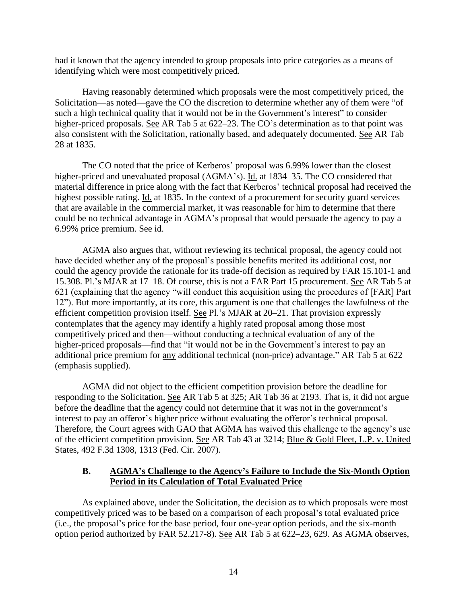had it known that the agency intended to group proposals into price categories as a means of identifying which were most competitively priced.

Having reasonably determined which proposals were the most competitively priced, the Solicitation—as noted—gave the CO the discretion to determine whether any of them were "of such a high technical quality that it would not be in the Government's interest" to consider higher-priced proposals. See AR Tab 5 at 622–23. The CO's determination as to that point was also consistent with the Solicitation, rationally based, and adequately documented. See AR Tab 28 at 1835.

The CO noted that the price of Kerberos' proposal was 6.99% lower than the closest higher-priced and unevaluated proposal (AGMA's). Id. at 1834–35. The CO considered that material difference in price along with the fact that Kerberos' technical proposal had received the highest possible rating. Id. at 1835. In the context of a procurement for security guard services that are available in the commercial market, it was reasonable for him to determine that there could be no technical advantage in AGMA's proposal that would persuade the agency to pay a 6.99% price premium. See id.

AGMA also argues that, without reviewing its technical proposal, the agency could not have decided whether any of the proposal's possible benefits merited its additional cost, nor could the agency provide the rationale for its trade-off decision as required by FAR 15.101-1 and 15.308. Pl.'s MJAR at 17–18. Of course, this is not a FAR Part 15 procurement. See AR Tab 5 at 621 (explaining that the agency "will conduct this acquisition using the procedures of [FAR] Part 12"). But more importantly, at its core, this argument is one that challenges the lawfulness of the efficient competition provision itself. See Pl.'s MJAR at 20–21. That provision expressly contemplates that the agency may identify a highly rated proposal among those most competitively priced and then—without conducting a technical evaluation of any of the higher-priced proposals—find that "it would not be in the Government's interest to pay an additional price premium for any additional technical (non-price) advantage." AR Tab 5 at 622 (emphasis supplied).

AGMA did not object to the efficient competition provision before the deadline for responding to the Solicitation. See AR Tab 5 at 325; AR Tab 36 at 2193. That is, it did not argue before the deadline that the agency could not determine that it was not in the government's interest to pay an offeror's higher price without evaluating the offeror's technical proposal. Therefore, the Court agrees with GAO that AGMA has waived this challenge to the agency's use of the efficient competition provision. See AR Tab 43 at 3214; Blue & Gold Fleet, L.P. v. United States, 492 F.3d 1308, 1313 (Fed. Cir. 2007).

### **B. AGMA's Challenge to the Agency's Failure to Include the Six-Month Option Period in its Calculation of Total Evaluated Price**

As explained above, under the Solicitation, the decision as to which proposals were most competitively priced was to be based on a comparison of each proposal's total evaluated price (i.e., the proposal's price for the base period, four one-year option periods, and the six-month option period authorized by FAR 52.217-8). See AR Tab 5 at 622–23, 629. As AGMA observes,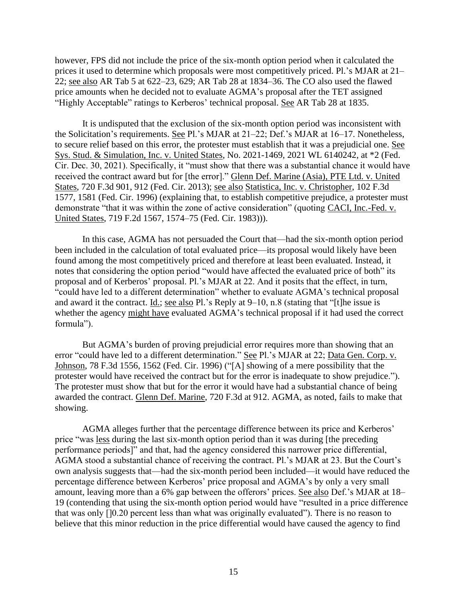however, FPS did not include the price of the six-month option period when it calculated the prices it used to determine which proposals were most competitively priced. Pl.'s MJAR at 21– 22; see also AR Tab 5 at 622–23, 629; AR Tab 28 at 1834–36. The CO also used the flawed price amounts when he decided not to evaluate AGMA's proposal after the TET assigned "Highly Acceptable" ratings to Kerberos' technical proposal. See AR Tab 28 at 1835.

It is undisputed that the exclusion of the six-month option period was inconsistent with the Solicitation's requirements. See Pl.'s MJAR at 21–22; Def.'s MJAR at 16–17. Nonetheless, to secure relief based on this error, the protester must establish that it was a prejudicial one. See Sys. Stud. & Simulation, Inc. v. United States, No. 2021-1469, 2021 WL 6140242, at \*2 (Fed. Cir. Dec. 30, 2021). Specifically, it "must show that there was a substantial chance it would have received the contract award but for [the error]." Glenn Def. Marine (Asia), PTE Ltd. v. United States, 720 F.3d 901, 912 (Fed. Cir. 2013); see also Statistica, Inc. v. Christopher, 102 F.3d 1577, 1581 (Fed. Cir. 1996) (explaining that, to establish competitive prejudice, a protester must demonstrate "that it was within the zone of active consideration" (quoting CACI, Inc.-Fed. v. United States, 719 F.2d 1567, 1574–75 (Fed. Cir. 1983))).

In this case, AGMA has not persuaded the Court that—had the six-month option period been included in the calculation of total evaluated price—its proposal would likely have been found among the most competitively priced and therefore at least been evaluated. Instead, it notes that considering the option period "would have affected the evaluated price of both" its proposal and of Kerberos' proposal. Pl.'s MJAR at 22. And it posits that the effect, in turn, "could have led to a different determination" whether to evaluate AGMA's technical proposal and award it the contract. Id.; see also Pl.'s Reply at 9–10, n.8 (stating that "[t]he issue is whether the agency might have evaluated AGMA's technical proposal if it had used the correct formula").

But AGMA's burden of proving prejudicial error requires more than showing that an error "could have led to a different determination." See Pl.'s MJAR at 22; Data Gen. Corp. v. Johnson, 78 F.3d 1556, 1562 (Fed. Cir. 1996) ("[A] showing of a mere possibility that the protester would have received the contract but for the error is inadequate to show prejudice."). The protester must show that but for the error it would have had a substantial chance of being awarded the contract. Glenn Def. Marine, 720 F.3d at 912. AGMA, as noted, fails to make that showing.

AGMA alleges further that the percentage difference between its price and Kerberos' price "was less during the last six-month option period than it was during [the preceding performance periods]" and that, had the agency considered this narrower price differential, AGMA stood a substantial chance of receiving the contract. Pl.'s MJAR at 23. But the Court's own analysis suggests that—had the six-month period been included—it would have reduced the percentage difference between Kerberos' price proposal and AGMA's by only a very small amount, leaving more than a 6% gap between the offerors' prices. See also Def.'s MJAR at 18– 19 (contending that using the six-month option period would have "resulted in a price difference that was only []0.20 percent less than what was originally evaluated"). There is no reason to believe that this minor reduction in the price differential would have caused the agency to find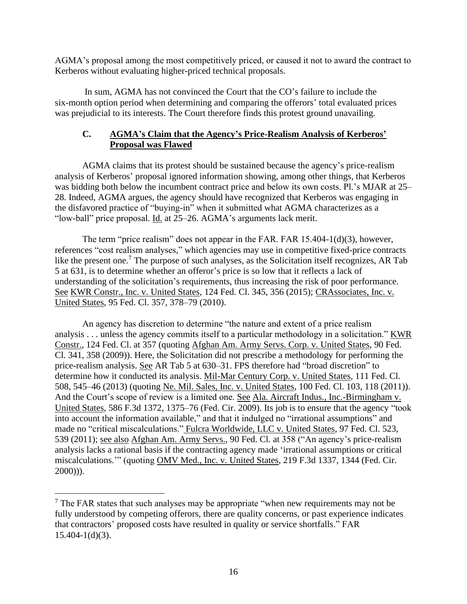AGMA's proposal among the most competitively priced, or caused it not to award the contract to Kerberos without evaluating higher-priced technical proposals.

In sum, AGMA has not convinced the Court that the CO's failure to include the six-month option period when determining and comparing the offerors' total evaluated prices was prejudicial to its interests. The Court therefore finds this protest ground unavailing.

# **C. AGMA's Claim that the Agency's Price-Realism Analysis of Kerberos' Proposal was Flawed**

AGMA claims that its protest should be sustained because the agency's price-realism analysis of Kerberos' proposal ignored information showing, among other things, that Kerberos was bidding both below the incumbent contract price and below its own costs. Pl.'s MJAR at 25– 28. Indeed, AGMA argues, the agency should have recognized that Kerberos was engaging in the disfavored practice of "buying-in" when it submitted what AGMA characterizes as a "low-ball" price proposal. Id. at 25–26. AGMA's arguments lack merit.

The term "price realism" does not appear in the FAR. FAR 15.404-1(d)(3), however, references "cost realism analyses," which agencies may use in competitive fixed-price contracts like the present one.<sup>7</sup> The purpose of such analyses, as the Solicitation itself recognizes, AR Tab 5 at 631, is to determine whether an offeror's price is so low that it reflects a lack of understanding of the solicitation's requirements, thus increasing the risk of poor performance. See KWR Constr., Inc. v. United States, 124 Fed. Cl. 345, 356 (2015); CRAssociates, Inc. v. United States, 95 Fed. Cl. 357, 378–79 (2010).

An agency has discretion to determine "the nature and extent of a price realism analysis . . . unless the agency commits itself to a particular methodology in a solicitation." KWR Constr., 124 Fed. Cl. at 357 (quoting Afghan Am. Army Servs. Corp. v. United States, 90 Fed. Cl. 341, 358 (2009)). Here, the Solicitation did not prescribe a methodology for performing the price-realism analysis. See AR Tab 5 at 630–31. FPS therefore had "broad discretion" to determine how it conducted its analysis. Mil-Mar Century Corp. v. United States, 111 Fed. Cl. 508, 545–46 (2013) (quoting Ne. Mil. Sales, Inc. v. United States, 100 Fed. Cl. 103, 118 (2011)). And the Court's scope of review is a limited one. See Ala. Aircraft Indus., Inc.-Birmingham v. United States, 586 F.3d 1372, 1375–76 (Fed. Cir. 2009). Its job is to ensure that the agency "took into account the information available," and that it indulged no "irrational assumptions" and made no "critical miscalculations." Fulcra Worldwide, LLC v. United States, 97 Fed. Cl. 523, 539 (2011); see also Afghan Am. Army Servs., 90 Fed. Cl. at 358 ("An agency's price-realism analysis lacks a rational basis if the contracting agency made 'irrational assumptions or critical miscalculations.'" (quoting OMV Med., Inc. v. United States, 219 F.3d 1337, 1344 (Fed. Cir. 2000))).

 $7$  The FAR states that such analyses may be appropriate "when new requirements may not be fully understood by competing offerors, there are quality concerns, or past experience indicates that contractors' proposed costs have resulted in quality or service shortfalls." FAR  $15.404 - 1(d)(3)$ .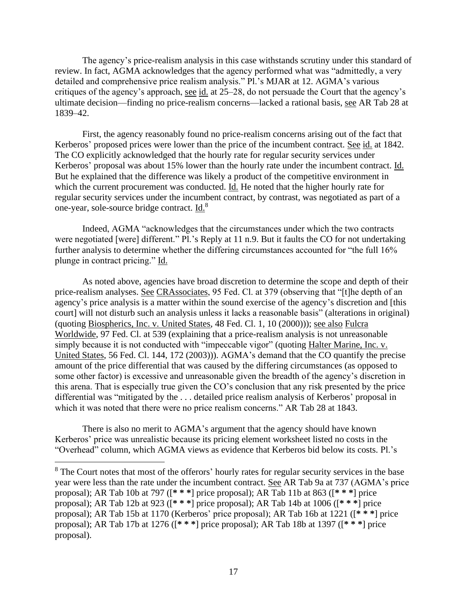The agency's price-realism analysis in this case withstands scrutiny under this standard of review. In fact, AGMA acknowledges that the agency performed what was "admittedly, a very detailed and comprehensive price realism analysis." Pl.'s MJAR at 12. AGMA's various critiques of the agency's approach, see id. at 25–28, do not persuade the Court that the agency's ultimate decision—finding no price-realism concerns—lacked a rational basis, see AR Tab 28 at 1839–42.

First, the agency reasonably found no price-realism concerns arising out of the fact that Kerberos' proposed prices were lower than the price of the incumbent contract. See id. at 1842. The CO explicitly acknowledged that the hourly rate for regular security services under Kerberos' proposal was about 15% lower than the hourly rate under the incumbent contract. Id. But he explained that the difference was likely a product of the competitive environment in which the current procurement was conducted. Id. He noted that the higher hourly rate for regular security services under the incumbent contract, by contrast, was negotiated as part of a one-year, sole-source bridge contract. Id.<sup>8</sup>

Indeed, AGMA "acknowledges that the circumstances under which the two contracts were negotiated [were] different." Pl.'s Reply at 11 n.9. But it faults the CO for not undertaking further analysis to determine whether the differing circumstances accounted for "the full 16% plunge in contract pricing." Id.

As noted above, agencies have broad discretion to determine the scope and depth of their price-realism analyses. See CRAssociates, 95 Fed. Cl. at 379 (observing that "[t]he depth of an agency's price analysis is a matter within the sound exercise of the agency's discretion and [this court] will not disturb such an analysis unless it lacks a reasonable basis" (alterations in original) (quoting Biospherics, Inc. v. United States, 48 Fed. Cl. 1, 10 (2000))); see also Fulcra Worldwide, 97 Fed. Cl. at 539 (explaining that a price-realism analysis is not unreasonable simply because it is not conducted with "impeccable vigor" (quoting Halter Marine, Inc. v. United States, 56 Fed. Cl. 144, 172 (2003))). AGMA's demand that the CO quantify the precise amount of the price differential that was caused by the differing circumstances (as opposed to some other factor) is excessive and unreasonable given the breadth of the agency's discretion in this arena. That is especially true given the CO's conclusion that any risk presented by the price differential was "mitigated by the . . . detailed price realism analysis of Kerberos' proposal in which it was noted that there were no price realism concerns." AR Tab 28 at 1843.

There is also no merit to AGMA's argument that the agency should have known Kerberos' price was unrealistic because its pricing element worksheet listed no costs in the "Overhead" column, which AGMA views as evidence that Kerberos bid below its costs. Pl.'s

<sup>&</sup>lt;sup>8</sup> The Court notes that most of the offerors' hourly rates for regular security services in the base year were less than the rate under the incumbent contract. See AR Tab 9a at 737 (AGMA's price proposal); AR Tab 10b at 797 ([**\* \* \***] price proposal); AR Tab 11b at 863 ([**\* \* \***] price proposal); AR Tab 12b at 923 ([**\* \* \***] price proposal); AR Tab 14b at 1006 ([**\* \* \***] price proposal); AR Tab 15b at 1170 (Kerberos' price proposal); AR Tab 16b at 1221 ([**\* \* \***] price proposal); AR Tab 17b at 1276 ([**\* \* \***] price proposal); AR Tab 18b at 1397 ([**\* \* \***] price proposal).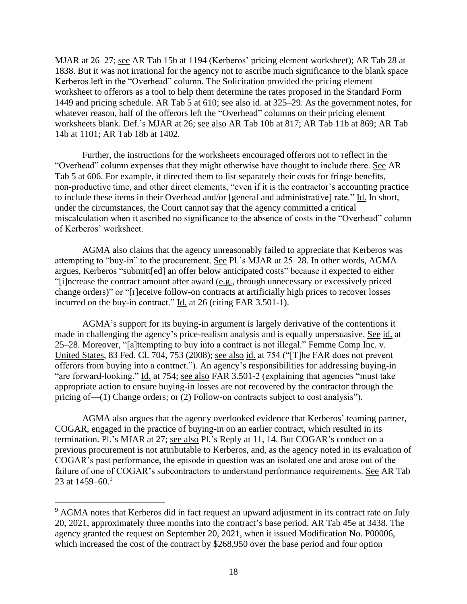MJAR at 26–27; see AR Tab 15b at 1194 (Kerberos' pricing element worksheet); AR Tab 28 at 1838. But it was not irrational for the agency not to ascribe much significance to the blank space Kerberos left in the "Overhead" column. The Solicitation provided the pricing element worksheet to offerors as a tool to help them determine the rates proposed in the Standard Form 1449 and pricing schedule. AR Tab 5 at 610; see also id. at 325–29. As the government notes, for whatever reason, half of the offerors left the "Overhead" columns on their pricing element worksheets blank. Def.'s MJAR at 26; see also AR Tab 10b at 817; AR Tab 11b at 869; AR Tab 14b at 1101; AR Tab 18b at 1402.

Further, the instructions for the worksheets encouraged offerors not to reflect in the "Overhead" column expenses that they might otherwise have thought to include there. See AR Tab 5 at 606. For example, it directed them to list separately their costs for fringe benefits, non-productive time, and other direct elements, "even if it is the contractor's accounting practice to include these items in their Overhead and/or [general and administrative] rate." Id. In short, under the circumstances, the Court cannot say that the agency committed a critical miscalculation when it ascribed no significance to the absence of costs in the "Overhead" column of Kerberos' worksheet.

AGMA also claims that the agency unreasonably failed to appreciate that Kerberos was attempting to "buy-in" to the procurement. See Pl.'s MJAR at 25–28. In other words, AGMA argues, Kerberos "submitt[ed] an offer below anticipated costs" because it expected to either "[i]ncrease the contract amount after award (e.g., through unnecessary or excessively priced change orders)" or "[r]eceive follow-on contracts at artificially high prices to recover losses incurred on the buy-in contract." Id. at 26 (citing FAR 3.501-1).

AGMA's support for its buying-in argument is largely derivative of the contentions it made in challenging the agency's price-realism analysis and is equally unpersuasive. See id. at 25–28. Moreover, "[a]ttempting to buy into a contract is not illegal." Femme Comp Inc. v. United States, 83 Fed. Cl. 704, 753 (2008); see also id. at 754 ("[T]he FAR does not prevent offerors from buying into a contract."). An agency's responsibilities for addressing buying-in "are forward-looking." Id. at 754; see also FAR 3.501-2 (explaining that agencies "must take appropriate action to ensure buying-in losses are not recovered by the contractor through the pricing of—(1) Change orders; or (2) Follow-on contracts subject to cost analysis").

AGMA also argues that the agency overlooked evidence that Kerberos' teaming partner, COGAR, engaged in the practice of buying-in on an earlier contract, which resulted in its termination. Pl.'s MJAR at 27; see also Pl.'s Reply at 11, 14. But COGAR's conduct on a previous procurement is not attributable to Kerberos, and, as the agency noted in its evaluation of COGAR's past performance, the episode in question was an isolated one and arose out of the failure of one of COGAR's subcontractors to understand performance requirements. See AR Tab 23 at  $1459 - 60.9$ 

 $9$  AGMA notes that Kerberos did in fact request an upward adjustment in its contract rate on July 20, 2021, approximately three months into the contract's base period. AR Tab 45e at 3438. The agency granted the request on September 20, 2021, when it issued Modification No. P00006, which increased the cost of the contract by \$268,950 over the base period and four option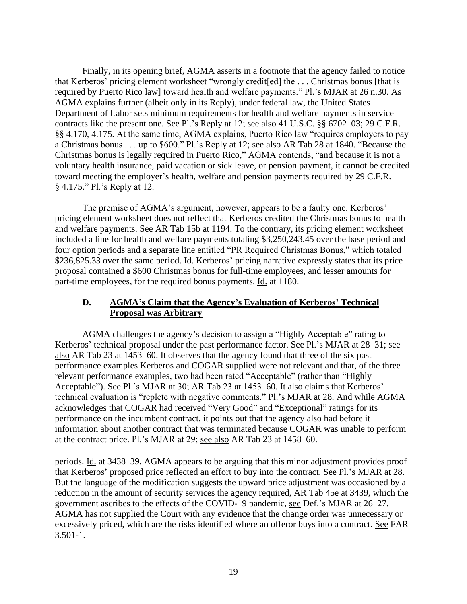Finally, in its opening brief, AGMA asserts in a footnote that the agency failed to notice that Kerberos' pricing element worksheet "wrongly credit[ed] the . . . Christmas bonus [that is required by Puerto Rico law] toward health and welfare payments." Pl.'s MJAR at 26 n.30. As AGMA explains further (albeit only in its Reply), under federal law, the United States Department of Labor sets minimum requirements for health and welfare payments in service contracts like the present one. See Pl.'s Reply at 12; see also 41 U.S.C. §§ 6702–03; 29 C.F.R. §§ 4.170, 4.175. At the same time, AGMA explains, Puerto Rico law "requires employers to pay a Christmas bonus . . . up to \$600." Pl.'s Reply at 12; see also AR Tab 28 at 1840. "Because the Christmas bonus is legally required in Puerto Rico," AGMA contends, "and because it is not a voluntary health insurance, paid vacation or sick leave, or pension payment, it cannot be credited toward meeting the employer's health, welfare and pension payments required by 29 C.F.R. § 4.175." Pl.'s Reply at 12.

The premise of AGMA's argument, however, appears to be a faulty one. Kerberos' pricing element worksheet does not reflect that Kerberos credited the Christmas bonus to health and welfare payments. See AR Tab 15b at 1194. To the contrary, its pricing element worksheet included a line for health and welfare payments totaling \$3,250,243.45 over the base period and four option periods and a separate line entitled "PR Required Christmas Bonus," which totaled \$236,825.33 over the same period. Id. Kerberos' pricing narrative expressly states that its price proposal contained a \$600 Christmas bonus for full-time employees, and lesser amounts for part-time employees, for the required bonus payments. Id. at 1180.

# **D. AGMA's Claim that the Agency's Evaluation of Kerberos' Technical Proposal was Arbitrary**

AGMA challenges the agency's decision to assign a "Highly Acceptable" rating to Kerberos' technical proposal under the past performance factor. See Pl.'s MJAR at 28–31; see also AR Tab 23 at 1453–60. It observes that the agency found that three of the six past performance examples Kerberos and COGAR supplied were not relevant and that, of the three relevant performance examples, two had been rated "Acceptable" (rather than "Highly Acceptable"). See Pl.'s MJAR at 30; AR Tab 23 at 1453–60. It also claims that Kerberos' technical evaluation is "replete with negative comments." Pl.'s MJAR at 28. And while AGMA acknowledges that COGAR had received "Very Good" and "Exceptional" ratings for its performance on the incumbent contract, it points out that the agency also had before it information about another contract that was terminated because COGAR was unable to perform at the contract price. Pl.'s MJAR at 29; see also AR Tab 23 at 1458–60.

periods. Id. at 3438–39. AGMA appears to be arguing that this minor adjustment provides proof that Kerberos' proposed price reflected an effort to buy into the contract. See Pl.'s MJAR at 28. But the language of the modification suggests the upward price adjustment was occasioned by a reduction in the amount of security services the agency required, AR Tab 45e at 3439, which the government ascribes to the effects of the COVID-19 pandemic, see Def.'s MJAR at 26–27. AGMA has not supplied the Court with any evidence that the change order was unnecessary or excessively priced, which are the risks identified where an offeror buys into a contract. See FAR 3.501-1.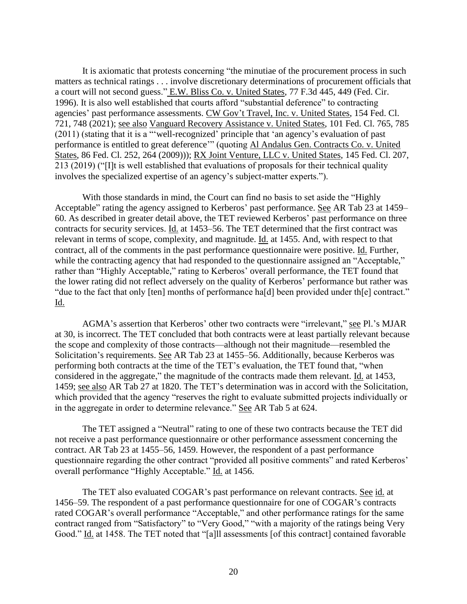It is axiomatic that protests concerning "the minutiae of the procurement process in such matters as technical ratings . . . involve discretionary determinations of procurement officials that a court will not second guess." E.W. Bliss Co. v. United States, 77 F.3d 445, 449 (Fed. Cir. 1996). It is also well established that courts afford "substantial deference" to contracting agencies' past performance assessments. CW Gov't Travel, Inc. v. United States, 154 Fed. Cl. 721, 748 (2021); see also Vanguard Recovery Assistance v. United States, 101 Fed. Cl. 765, 785 (2011) (stating that it is a "'well-recognized' principle that 'an agency's evaluation of past performance is entitled to great deference'" (quoting Al Andalus Gen. Contracts Co. v. United States, 86 Fed. Cl. 252, 264 (2009))); RX Joint Venture, LLC v. United States, 145 Fed. Cl. 207, 213 (2019) ("[I]t is well established that evaluations of proposals for their technical quality involves the specialized expertise of an agency's subject-matter experts.").

With those standards in mind, the Court can find no basis to set aside the "Highly Acceptable" rating the agency assigned to Kerberos' past performance. See AR Tab 23 at 1459– 60. As described in greater detail above, the TET reviewed Kerberos' past performance on three contracts for security services. Id. at 1453–56. The TET determined that the first contract was relevant in terms of scope, complexity, and magnitude. Id. at 1455. And, with respect to that contract, all of the comments in the past performance questionnaire were positive. Id. Further, while the contracting agency that had responded to the questionnaire assigned an "Acceptable," rather than "Highly Acceptable," rating to Kerberos' overall performance, the TET found that the lower rating did not reflect adversely on the quality of Kerberos' performance but rather was "due to the fact that only [ten] months of performance ha[d] been provided under th[e] contract." Id.

AGMA's assertion that Kerberos' other two contracts were "irrelevant," see Pl.'s MJAR at 30, is incorrect. The TET concluded that both contracts were at least partially relevant because the scope and complexity of those contracts—although not their magnitude—resembled the Solicitation's requirements. See AR Tab 23 at 1455–56. Additionally, because Kerberos was performing both contracts at the time of the TET's evaluation, the TET found that, "when considered in the aggregate," the magnitude of the contracts made them relevant. Id. at 1453, 1459; see also AR Tab 27 at 1820. The TET's determination was in accord with the Solicitation, which provided that the agency "reserves the right to evaluate submitted projects individually or in the aggregate in order to determine relevance." See AR Tab 5 at 624.

The TET assigned a "Neutral" rating to one of these two contracts because the TET did not receive a past performance questionnaire or other performance assessment concerning the contract. AR Tab 23 at 1455–56, 1459. However, the respondent of a past performance questionnaire regarding the other contract "provided all positive comments" and rated Kerberos' overall performance "Highly Acceptable." Id. at 1456.

The TET also evaluated COGAR's past performance on relevant contracts. See id. at 1456–59. The respondent of a past performance questionnaire for one of COGAR's contracts rated COGAR's overall performance "Acceptable," and other performance ratings for the same contract ranged from "Satisfactory" to "Very Good," "with a majority of the ratings being Very Good." Id. at 1458. The TET noted that "[a]ll assessments [of this contract] contained favorable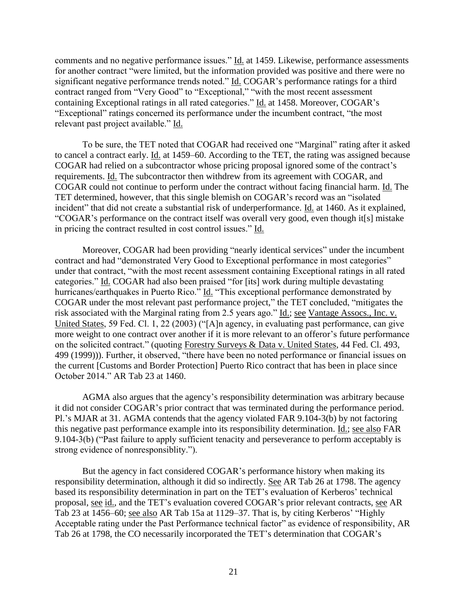comments and no negative performance issues." Id. at 1459. Likewise, performance assessments for another contract "were limited, but the information provided was positive and there were no significant negative performance trends noted." Id. COGAR's performance ratings for a third contract ranged from "Very Good" to "Exceptional," "with the most recent assessment containing Exceptional ratings in all rated categories." Id. at 1458. Moreover, COGAR's "Exceptional" ratings concerned its performance under the incumbent contract, "the most relevant past project available." Id.

To be sure, the TET noted that COGAR had received one "Marginal" rating after it asked to cancel a contract early. Id. at 1459–60. According to the TET, the rating was assigned because COGAR had relied on a subcontractor whose pricing proposal ignored some of the contract's requirements. Id. The subcontractor then withdrew from its agreement with COGAR, and COGAR could not continue to perform under the contract without facing financial harm. Id. The TET determined, however, that this single blemish on COGAR's record was an "isolated incident" that did not create a substantial risk of underperformance. Id. at 1460. As it explained, "COGAR's performance on the contract itself was overall very good, even though it[s] mistake in pricing the contract resulted in cost control issues." Id.

Moreover, COGAR had been providing "nearly identical services" under the incumbent contract and had "demonstrated Very Good to Exceptional performance in most categories" under that contract, "with the most recent assessment containing Exceptional ratings in all rated categories." Id. COGAR had also been praised "for [its] work during multiple devastating hurricanes/earthquakes in Puerto Rico." Id. "This exceptional performance demonstrated by COGAR under the most relevant past performance project," the TET concluded, "mitigates the risk associated with the Marginal rating from 2.5 years ago." Id.; see Vantage Assocs., Inc. v. United States, 59 Fed. Cl. 1, 22 (2003) ("[A]n agency, in evaluating past performance, can give more weight to one contract over another if it is more relevant to an offeror's future performance on the solicited contract." (quoting Forestry Surveys & Data v. United States, 44 Fed. Cl. 493, 499 (1999))). Further, it observed, "there have been no noted performance or financial issues on the current [Customs and Border Protection] Puerto Rico contract that has been in place since October 2014." AR Tab 23 at 1460.

AGMA also argues that the agency's responsibility determination was arbitrary because it did not consider COGAR's prior contract that was terminated during the performance period. Pl.'s MJAR at 31. AGMA contends that the agency violated FAR 9.104-3(b) by not factoring this negative past performance example into its responsibility determination. Id.; see also FAR 9.104-3(b) ("Past failure to apply sufficient tenacity and perseverance to perform acceptably is strong evidence of nonresponsiblity.").

But the agency in fact considered COGAR's performance history when making its responsibility determination, although it did so indirectly. See AR Tab 26 at 1798. The agency based its responsibility determination in part on the TET's evaluation of Kerberos' technical proposal, see id., and the TET's evaluation covered COGAR's prior relevant contracts, see AR Tab 23 at 1456–60; see also AR Tab 15a at 1129–37. That is, by citing Kerberos' "Highly Acceptable rating under the Past Performance technical factor" as evidence of responsibility, AR Tab 26 at 1798, the CO necessarily incorporated the TET's determination that COGAR's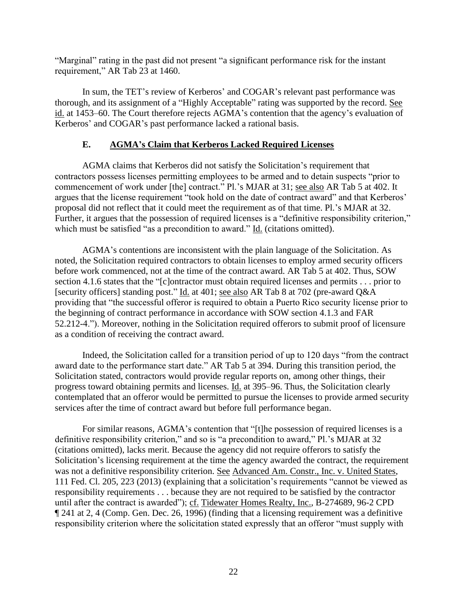"Marginal" rating in the past did not present "a significant performance risk for the instant requirement," AR Tab 23 at 1460.

In sum, the TET's review of Kerberos' and COGAR's relevant past performance was thorough, and its assignment of a "Highly Acceptable" rating was supported by the record. See id. at 1453–60. The Court therefore rejects AGMA's contention that the agency's evaluation of Kerberos' and COGAR's past performance lacked a rational basis.

# **E. AGMA's Claim that Kerberos Lacked Required Licenses**

AGMA claims that Kerberos did not satisfy the Solicitation's requirement that contractors possess licenses permitting employees to be armed and to detain suspects "prior to commencement of work under [the] contract." Pl.'s MJAR at 31; see also AR Tab 5 at 402. It argues that the license requirement "took hold on the date of contract award" and that Kerberos' proposal did not reflect that it could meet the requirement as of that time. Pl.'s MJAR at 32. Further, it argues that the possession of required licenses is a "definitive responsibility criterion," which must be satisfied "as a precondition to award." Id. (citations omitted).

AGMA's contentions are inconsistent with the plain language of the Solicitation. As noted, the Solicitation required contractors to obtain licenses to employ armed security officers before work commenced, not at the time of the contract award. AR Tab 5 at 402. Thus, SOW section 4.1.6 states that the "[c]ontractor must obtain required licenses and permits . . . prior to [security officers] standing post." Id. at 401; see also AR Tab 8 at 702 (pre-award Q&A providing that "the successful offeror is required to obtain a Puerto Rico security license prior to the beginning of contract performance in accordance with SOW section 4.1.3 and FAR 52.212-4."). Moreover, nothing in the Solicitation required offerors to submit proof of licensure as a condition of receiving the contract award.

Indeed, the Solicitation called for a transition period of up to 120 days "from the contract award date to the performance start date." AR Tab 5 at 394. During this transition period, the Solicitation stated, contractors would provide regular reports on, among other things, their progress toward obtaining permits and licenses. Id. at 395–96. Thus, the Solicitation clearly contemplated that an offeror would be permitted to pursue the licenses to provide armed security services after the time of contract award but before full performance began.

For similar reasons, AGMA's contention that "[t]he possession of required licenses is a definitive responsibility criterion," and so is "a precondition to award," Pl.'s MJAR at 32 (citations omitted), lacks merit. Because the agency did not require offerors to satisfy the Solicitation's licensing requirement at the time the agency awarded the contract, the requirement was not a definitive responsibility criterion. See Advanced Am. Constr., Inc. v. United States, 111 Fed. Cl. 205, 223 (2013) (explaining that a solicitation's requirements "cannot be viewed as responsibility requirements . . . because they are not required to be satisfied by the contractor until after the contract is awarded"); cf. Tidewater Homes Realty, Inc., B-274689, 96-2 CPD ¶ 241 at 2, 4 (Comp. Gen. Dec. 26, 1996) (finding that a licensing requirement was a definitive responsibility criterion where the solicitation stated expressly that an offeror "must supply with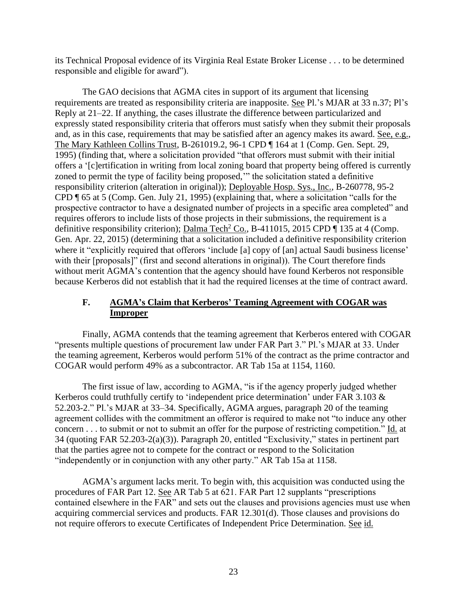its Technical Proposal evidence of its Virginia Real Estate Broker License . . . to be determined responsible and eligible for award").

The GAO decisions that AGMA cites in support of its argument that licensing requirements are treated as responsibility criteria are inapposite. See Pl.'s MJAR at 33 n.37; Pl's Reply at 21–22. If anything, the cases illustrate the difference between particularized and expressly stated responsibility criteria that offerors must satisfy when they submit their proposals and, as in this case, requirements that may be satisfied after an agency makes its award. See, e.g., The Mary Kathleen Collins Trust, B-261019.2, 96-1 CPD ¶ 164 at 1 (Comp. Gen. Sept. 29, 1995) (finding that, where a solicitation provided "that offerors must submit with their initial offers a '[c]ertification in writing from local zoning board that property being offered is currently zoned to permit the type of facility being proposed,'" the solicitation stated a definitive responsibility criterion (alteration in original)); Deployable Hosp. Sys., Inc., B-260778, 95-2 CPD ¶ 65 at 5 (Comp. Gen. July 21, 1995) (explaining that, where a solicitation "calls for the prospective contractor to have a designated number of projects in a specific area completed" and requires offerors to include lists of those projects in their submissions, the requirement is a definitive responsibility criterion); Dalma Tech<sup>2</sup> Co., B-411015, 2015 CPD  $\P$  135 at 4 (Comp. Gen. Apr. 22, 2015) (determining that a solicitation included a definitive responsibility criterion where it "explicitly required that offerors 'include [a] copy of [an] actual Saudi business license' with their [proposals]" (first and second alterations in original)). The Court therefore finds without merit AGMA's contention that the agency should have found Kerberos not responsible because Kerberos did not establish that it had the required licenses at the time of contract award.

# **F. AGMA's Claim that Kerberos' Teaming Agreement with COGAR was Improper**

Finally, AGMA contends that the teaming agreement that Kerberos entered with COGAR "presents multiple questions of procurement law under FAR Part 3." Pl.'s MJAR at 33. Under the teaming agreement, Kerberos would perform 51% of the contract as the prime contractor and COGAR would perform 49% as a subcontractor. AR Tab 15a at 1154, 1160.

The first issue of law, according to AGMA, "is if the agency properly judged whether Kerberos could truthfully certify to 'independent price determination' under FAR 3.103 & 52.203-2." Pl.'s MJAR at 33–34. Specifically, AGMA argues, paragraph 20 of the teaming agreement collides with the commitment an offeror is required to make not "to induce any other concern . . . to submit or not to submit an offer for the purpose of restricting competition." Id. at 34 (quoting FAR 52.203-2(a)(3)). Paragraph 20, entitled "Exclusivity," states in pertinent part that the parties agree not to compete for the contract or respond to the Solicitation "independently or in conjunction with any other party." AR Tab 15a at 1158.

AGMA's argument lacks merit. To begin with, this acquisition was conducted using the procedures of FAR Part 12. See AR Tab 5 at 621. FAR Part 12 supplants "prescriptions contained elsewhere in the FAR" and sets out the clauses and provisions agencies must use when acquiring commercial services and products. FAR 12.301(d). Those clauses and provisions do not require offerors to execute Certificates of Independent Price Determination. See id.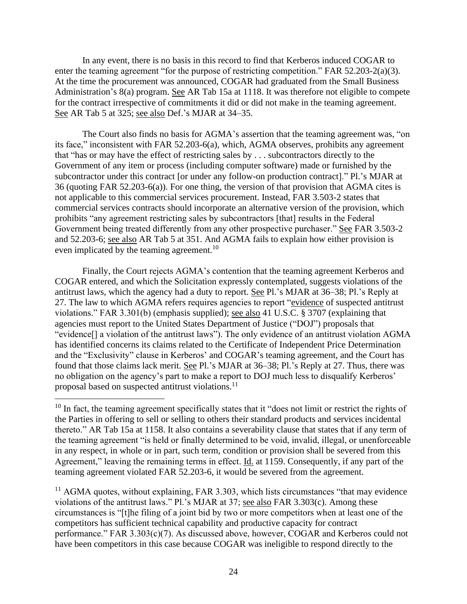In any event, there is no basis in this record to find that Kerberos induced COGAR to enter the teaming agreement "for the purpose of restricting competition." FAR 52.203-2(a)(3). At the time the procurement was announced, COGAR had graduated from the Small Business Administration's 8(a) program. See AR Tab 15a at 1118. It was therefore not eligible to compete for the contract irrespective of commitments it did or did not make in the teaming agreement. See AR Tab 5 at 325; see also Def.'s MJAR at 34–35.

The Court also finds no basis for AGMA's assertion that the teaming agreement was, "on its face," inconsistent with FAR 52.203-6(a), which, AGMA observes, prohibits any agreement that "has or may have the effect of restricting sales by . . . subcontractors directly to the Government of any item or process (including computer software) made or furnished by the subcontractor under this contract [or under any follow-on production contract]." Pl.'s MJAR at 36 (quoting FAR 52.203-6(a)). For one thing, the version of that provision that AGMA cites is not applicable to this commercial services procurement. Instead, FAR 3.503-2 states that commercial services contracts should incorporate an alternative version of the provision, which prohibits "any agreement restricting sales by subcontractors [that] results in the Federal Government being treated differently from any other prospective purchaser." See FAR 3.503-2 and 52.203-6; see also AR Tab 5 at 351. And AGMA fails to explain how either provision is even implicated by the teaming agreement.<sup>10</sup>

Finally, the Court rejects AGMA's contention that the teaming agreement Kerberos and COGAR entered, and which the Solicitation expressly contemplated, suggests violations of the antitrust laws, which the agency had a duty to report. See Pl.'s MJAR at 36–38; Pl.'s Reply at 27. The law to which AGMA refers requires agencies to report "evidence of suspected antitrust violations." FAR 3.301(b) (emphasis supplied); see also 41 U.S.C. § 3707 (explaining that agencies must report to the United States Department of Justice ("DOJ") proposals that "evidence[] a violation of the antitrust laws"). The only evidence of an antitrust violation AGMA has identified concerns its claims related to the Certificate of Independent Price Determination and the "Exclusivity" clause in Kerberos' and COGAR's teaming agreement, and the Court has found that those claims lack merit. See Pl.'s MJAR at 36–38; Pl.'s Reply at 27. Thus, there was no obligation on the agency's part to make a report to DOJ much less to disqualify Kerberos' proposal based on suspected antitrust violations.<sup>11</sup>

 $11$  AGMA quotes, without explaining, FAR 3.303, which lists circumstances "that may evidence" violations of the antitrust laws." Pl.'s MJAR at 37; see also FAR 3.303(c). Among these circumstances is "[t]he filing of a joint bid by two or more competitors when at least one of the competitors has sufficient technical capability and productive capacity for contract performance." FAR 3.303(c)(7). As discussed above, however, COGAR and Kerberos could not have been competitors in this case because COGAR was ineligible to respond directly to the

 $10$  In fact, the teaming agreement specifically states that it "does not limit or restrict the rights of the Parties in offering to sell or selling to others their standard products and services incidental thereto." AR Tab 15a at 1158. It also contains a severability clause that states that if any term of the teaming agreement "is held or finally determined to be void, invalid, illegal, or unenforceable in any respect, in whole or in part, such term, condition or provision shall be severed from this Agreement," leaving the remaining terms in effect. Id. at 1159. Consequently, if any part of the teaming agreement violated FAR 52.203-6, it would be severed from the agreement.